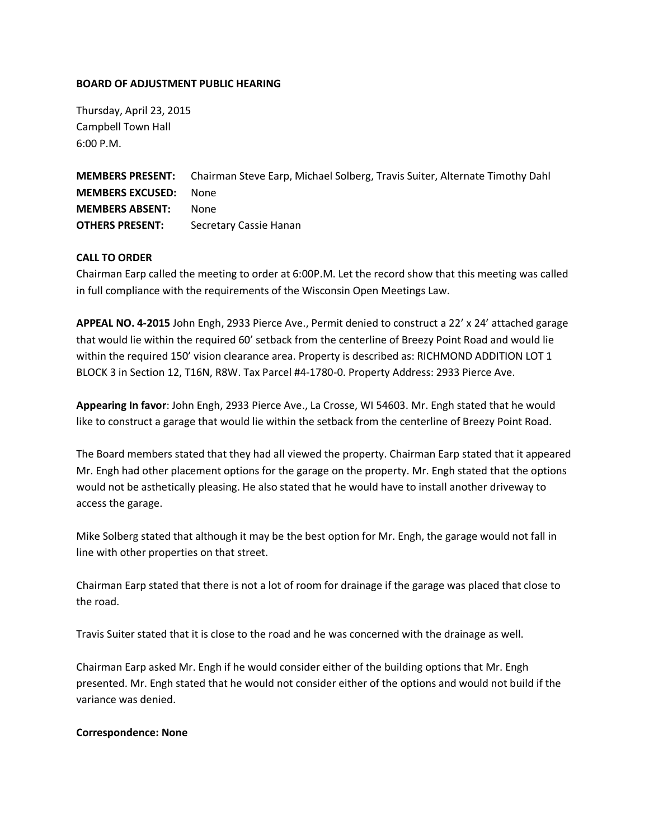## **BOARD OF ADJUSTMENT PUBLIC HEARING**

Thursday, April 23, 2015 Campbell Town Hall 6:00 P.M.

**MEMBERS PRESENT:** Chairman Steve Earp, Michael Solberg, Travis Suiter, Alternate Timothy Dahl **MEMBERS EXCUSED:** None **MEMBERS ABSENT:** None **OTHERS PRESENT:** Secretary Cassie Hanan

## **CALL TO ORDER**

Chairman Earp called the meeting to order at 6:00P.M. Let the record show that this meeting was called in full compliance with the requirements of the Wisconsin Open Meetings Law.

**APPEAL NO. 4-2015** John Engh, 2933 Pierce Ave., Permit denied to construct a 22' x 24' attached garage that would lie within the required 60' setback from the centerline of Breezy Point Road and would lie within the required 150' vision clearance area. Property is described as: RICHMOND ADDITION LOT 1 BLOCK 3 in Section 12, T16N, R8W. Tax Parcel #4-1780-0. Property Address: 2933 Pierce Ave.

**Appearing In favor**: John Engh, 2933 Pierce Ave., La Crosse, WI 54603. Mr. Engh stated that he would like to construct a garage that would lie within the setback from the centerline of Breezy Point Road.

The Board members stated that they had all viewed the property. Chairman Earp stated that it appeared Mr. Engh had other placement options for the garage on the property. Mr. Engh stated that the options would not be asthetically pleasing. He also stated that he would have to install another driveway to access the garage.

Mike Solberg stated that although it may be the best option for Mr. Engh, the garage would not fall in line with other properties on that street.

Chairman Earp stated that there is not a lot of room for drainage if the garage was placed that close to the road.

Travis Suiter stated that it is close to the road and he was concerned with the drainage as well.

Chairman Earp asked Mr. Engh if he would consider either of the building options that Mr. Engh presented. Mr. Engh stated that he would not consider either of the options and would not build if the variance was denied.

## **Correspondence: None**